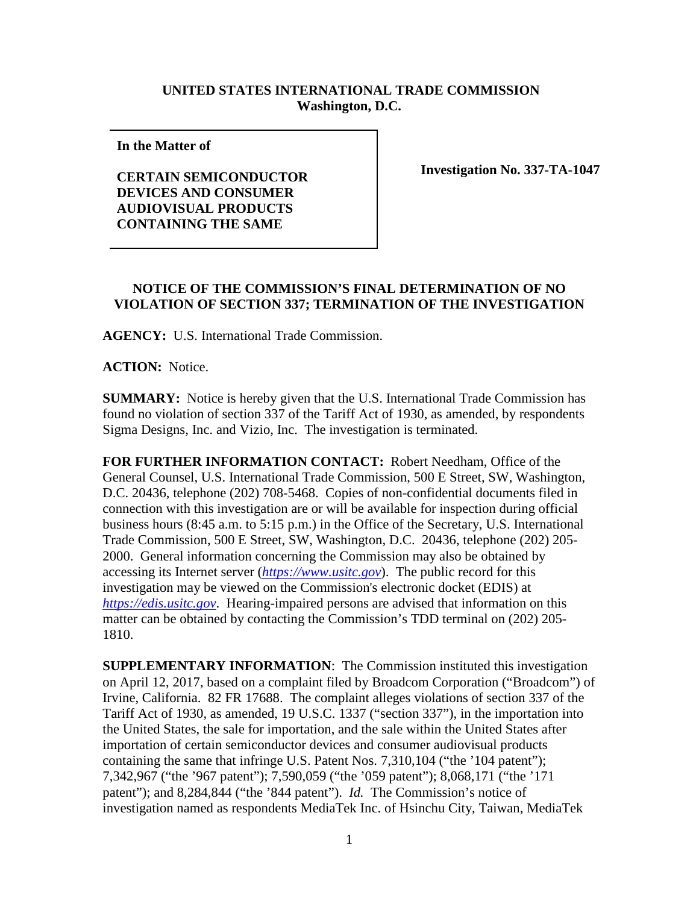## **UNITED STATES INTERNATIONAL TRADE COMMISSION Washington, D.C.**

**In the Matter of** 

**CERTAIN SEMICONDUCTOR DEVICES AND CONSUMER AUDIOVISUAL PRODUCTS CONTAINING THE SAME**

**Investigation No. 337-TA-1047**

## **NOTICE OF THE COMMISSION'S FINAL DETERMINATION OF NO VIOLATION OF SECTION 337; TERMINATION OF THE INVESTIGATION**

**AGENCY:** U.S. International Trade Commission.

**ACTION:** Notice.

**SUMMARY:** Notice is hereby given that the U.S. International Trade Commission has found no violation of section 337 of the Tariff Act of 1930, as amended, by respondents Sigma Designs, Inc. and Vizio, Inc. The investigation is terminated.

**FOR FURTHER INFORMATION CONTACT:** Robert Needham, Office of the General Counsel, U.S. International Trade Commission, 500 E Street, SW, Washington, D.C. 20436, telephone (202) 708-5468. Copies of non-confidential documents filed in connection with this investigation are or will be available for inspection during official business hours (8:45 a.m. to 5:15 p.m.) in the Office of the Secretary, U.S. International Trade Commission, 500 E Street, SW, Washington, D.C. 20436, telephone (202) 205- 2000. General information concerning the Commission may also be obtained by accessing its Internet server (*[https://www.usitc.gov](https://www.usitc.gov/)*). The public record for this investigation may be viewed on the Commission's electronic docket (EDIS) at *[https://edis.usitc.gov](https://edis.usitc.gov/)*. Hearing-impaired persons are advised that information on this matter can be obtained by contacting the Commission's TDD terminal on (202) 205- 1810.

**SUPPLEMENTARY INFORMATION**: The Commission instituted this investigation on April 12, 2017, based on a complaint filed by Broadcom Corporation ("Broadcom") of Irvine, California. 82 FR 17688. The complaint alleges violations of section 337 of the Tariff Act of 1930, as amended, 19 U.S.C. 1337 ("section 337"), in the importation into the United States, the sale for importation, and the sale within the United States after importation of certain semiconductor devices and consumer audiovisual products containing the same that infringe U.S. Patent Nos. 7,310,104 ("the '104 patent"); 7,342,967 ("the '967 patent"); 7,590,059 ("the '059 patent"); 8,068,171 ("the '171 patent"); and 8,284,844 ("the '844 patent"). *Id.* The Commission's notice of investigation named as respondents MediaTek Inc. of Hsinchu City, Taiwan, MediaTek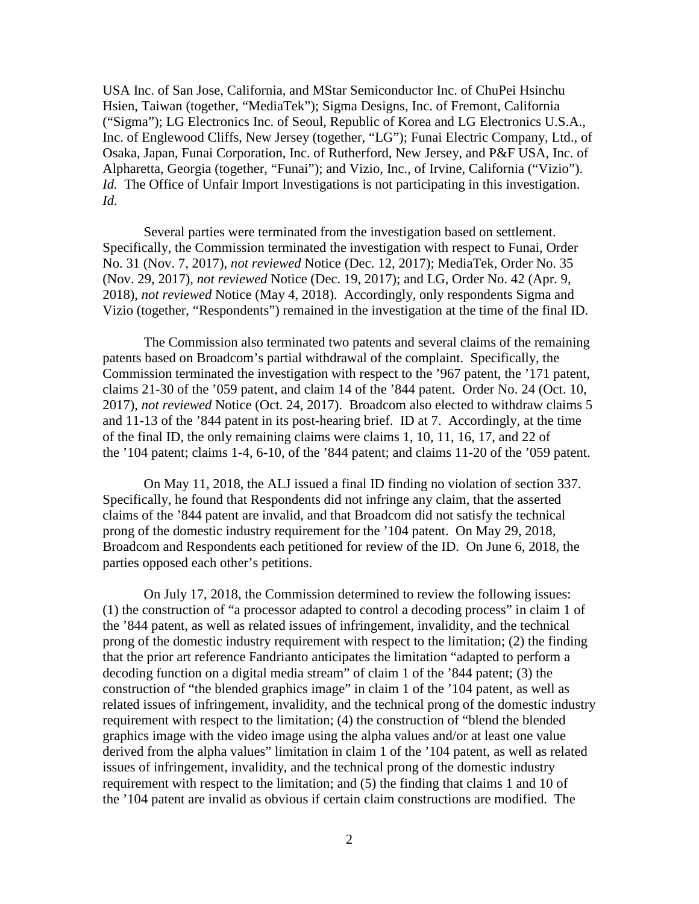USA Inc. of San Jose, California, and MStar Semiconductor Inc. of ChuPei Hsinchu Hsien, Taiwan (together, "MediaTek"); Sigma Designs, Inc. of Fremont, California ("Sigma"); LG Electronics Inc. of Seoul, Republic of Korea and LG Electronics U.S.A., Inc. of Englewood Cliffs, New Jersey (together, "LG"); Funai Electric Company, Ltd., of Osaka, Japan, Funai Corporation, Inc. of Rutherford, New Jersey, and P&F USA, Inc. of Alpharetta, Georgia (together, "Funai"); and Vizio, Inc., of Irvine, California ("Vizio"). *Id.* The Office of Unfair Import Investigations is not participating in this investigation. *Id.*

Several parties were terminated from the investigation based on settlement. Specifically, the Commission terminated the investigation with respect to Funai, Order No. 31 (Nov. 7, 2017), *not reviewed* Notice (Dec. 12, 2017); MediaTek, Order No. 35 (Nov. 29, 2017), *not reviewed* Notice (Dec. 19, 2017); and LG, Order No. 42 (Apr. 9, 2018), *not reviewed* Notice (May 4, 2018). Accordingly, only respondents Sigma and Vizio (together, "Respondents") remained in the investigation at the time of the final ID.

The Commission also terminated two patents and several claims of the remaining patents based on Broadcom's partial withdrawal of the complaint. Specifically, the Commission terminated the investigation with respect to the '967 patent, the '171 patent, claims 21-30 of the '059 patent, and claim 14 of the '844 patent. Order No. 24 (Oct. 10, 2017), *not reviewed* Notice (Oct. 24, 2017). Broadcom also elected to withdraw claims 5 and 11-13 of the '844 patent in its post-hearing brief. ID at 7. Accordingly, at the time of the final ID, the only remaining claims were claims 1, 10, 11, 16, 17, and 22 of the '104 patent; claims 1-4, 6-10, of the '844 patent; and claims 11-20 of the '059 patent.

On May 11, 2018, the ALJ issued a final ID finding no violation of section 337. Specifically, he found that Respondents did not infringe any claim, that the asserted claims of the '844 patent are invalid, and that Broadcom did not satisfy the technical prong of the domestic industry requirement for the '104 patent. On May 29, 2018, Broadcom and Respondents each petitioned for review of the ID. On June 6, 2018, the parties opposed each other's petitions.

On July 17, 2018, the Commission determined to review the following issues: (1) the construction of "a processor adapted to control a decoding process" in claim 1 of the '844 patent, as well as related issues of infringement, invalidity, and the technical prong of the domestic industry requirement with respect to the limitation; (2) the finding that the prior art reference Fandrianto anticipates the limitation "adapted to perform a decoding function on a digital media stream" of claim 1 of the '844 patent; (3) the construction of "the blended graphics image" in claim 1 of the '104 patent, as well as related issues of infringement, invalidity, and the technical prong of the domestic industry requirement with respect to the limitation; (4) the construction of "blend the blended graphics image with the video image using the alpha values and/or at least one value derived from the alpha values" limitation in claim 1 of the '104 patent, as well as related issues of infringement, invalidity, and the technical prong of the domestic industry requirement with respect to the limitation; and (5) the finding that claims 1 and 10 of the '104 patent are invalid as obvious if certain claim constructions are modified. The